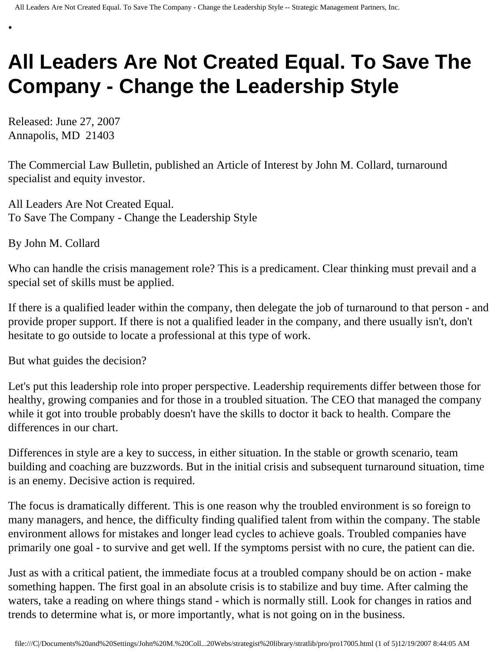## **All Leaders Are Not Created Equal. To Save The Company - Change the Leadership Style**

Released: June 27, 2007 Annapolis, MD 21403

•

The Commercial Law Bulletin, published an Article of Interest by John M. Collard, turnaround specialist and equity investor.

All Leaders Are Not Created Equal. To Save The Company - Change the Leadership Style

By John M. Collard

Who can handle the crisis management role? This is a predicament. Clear thinking must prevail and a special set of skills must be applied.

If there is a qualified leader within the company, then delegate the job of turnaround to that person - and provide proper support. If there is not a qualified leader in the company, and there usually isn't, don't hesitate to go outside to locate a professional at this type of work.

But what guides the decision?

Let's put this leadership role into proper perspective. Leadership requirements differ between those for healthy, growing companies and for those in a troubled situation. The CEO that managed the company while it got into trouble probably doesn't have the skills to doctor it back to health. Compare the differences in our chart.

Differences in style are a key to success, in either situation. In the stable or growth scenario, team building and coaching are buzzwords. But in the initial crisis and subsequent turnaround situation, time is an enemy. Decisive action is required.

The focus is dramatically different. This is one reason why the troubled environment is so foreign to many managers, and hence, the difficulty finding qualified talent from within the company. The stable environment allows for mistakes and longer lead cycles to achieve goals. Troubled companies have primarily one goal - to survive and get well. If the symptoms persist with no cure, the patient can die.

Just as with a critical patient, the immediate focus at a troubled company should be on action - make something happen. The first goal in an absolute crisis is to stabilize and buy time. After calming the waters, take a reading on where things stand - which is normally still. Look for changes in ratios and trends to determine what is, or more importantly, what is not going on in the business.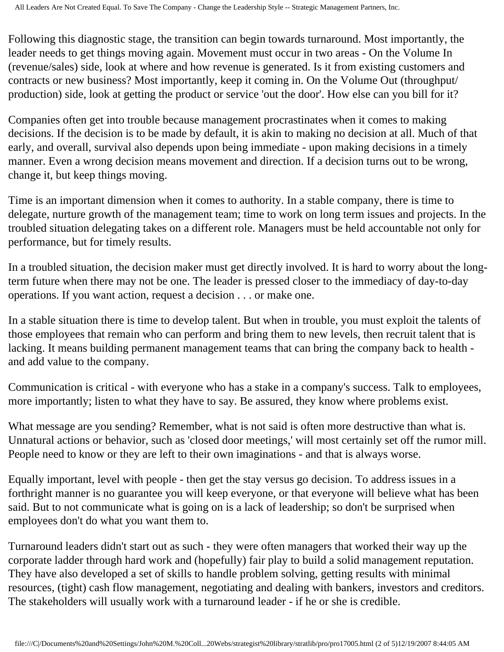Following this diagnostic stage, the transition can begin towards turnaround. Most importantly, the leader needs to get things moving again. Movement must occur in two areas - On the Volume In (revenue/sales) side, look at where and how revenue is generated. Is it from existing customers and contracts or new business? Most importantly, keep it coming in. On the Volume Out (throughput/ production) side, look at getting the product or service 'out the door'. How else can you bill for it?

Companies often get into trouble because management procrastinates when it comes to making decisions. If the decision is to be made by default, it is akin to making no decision at all. Much of that early, and overall, survival also depends upon being immediate - upon making decisions in a timely manner. Even a wrong decision means movement and direction. If a decision turns out to be wrong, change it, but keep things moving.

Time is an important dimension when it comes to authority. In a stable company, there is time to delegate, nurture growth of the management team; time to work on long term issues and projects. In the troubled situation delegating takes on a different role. Managers must be held accountable not only for performance, but for timely results.

In a troubled situation, the decision maker must get directly involved. It is hard to worry about the longterm future when there may not be one. The leader is pressed closer to the immediacy of day-to-day operations. If you want action, request a decision . . . or make one.

In a stable situation there is time to develop talent. But when in trouble, you must exploit the talents of those employees that remain who can perform and bring them to new levels, then recruit talent that is lacking. It means building permanent management teams that can bring the company back to health and add value to the company.

Communication is critical - with everyone who has a stake in a company's success. Talk to employees, more importantly; listen to what they have to say. Be assured, they know where problems exist.

What message are you sending? Remember, what is not said is often more destructive than what is. Unnatural actions or behavior, such as 'closed door meetings,' will most certainly set off the rumor mill. People need to know or they are left to their own imaginations - and that is always worse.

Equally important, level with people - then get the stay versus go decision. To address issues in a forthright manner is no guarantee you will keep everyone, or that everyone will believe what has been said. But to not communicate what is going on is a lack of leadership; so don't be surprised when employees don't do what you want them to.

Turnaround leaders didn't start out as such - they were often managers that worked their way up the corporate ladder through hard work and (hopefully) fair play to build a solid management reputation. They have also developed a set of skills to handle problem solving, getting results with minimal resources, (tight) cash flow management, negotiating and dealing with bankers, investors and creditors. The stakeholders will usually work with a turnaround leader - if he or she is credible.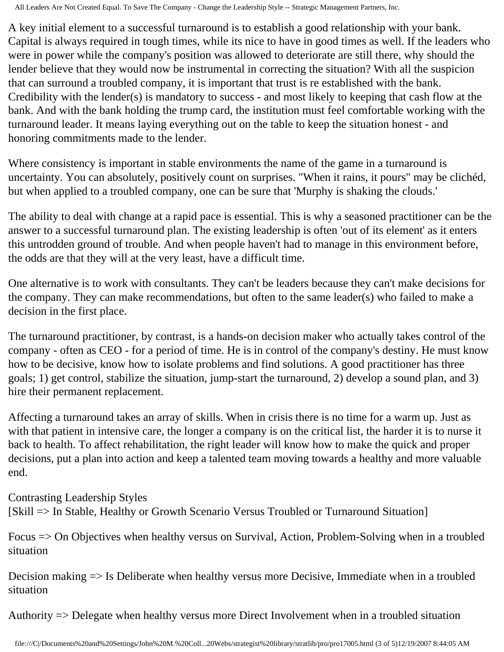All Leaders Are Not Created Equal. To Save The Company - Change the Leadership Style -- Strategic Management Partners, Inc.

A key initial element to a successful turnaround is to establish a good relationship with your bank. Capital is always required in tough times, while its nice to have in good times as well. If the leaders who were in power while the company's position was allowed to deteriorate are still there, why should the lender believe that they would now be instrumental in correcting the situation? With all the suspicion that can surround a troubled company, it is important that trust is re established with the bank. Credibility with the lender(s) is mandatory to success - and most likely to keeping that cash flow at the bank. And with the bank holding the trump card, the institution must feel comfortable working with the turnaround leader. It means laying everything out on the table to keep the situation honest - and honoring commitments made to the lender.

Where consistency is important in stable environments the name of the game in a turnaround is uncertainty. You can absolutely, positively count on surprises. "When it rains, it pours" may be clichéd, but when applied to a troubled company, one can be sure that 'Murphy is shaking the clouds.'

The ability to deal with change at a rapid pace is essential. This is why a seasoned practitioner can be the answer to a successful turnaround plan. The existing leadership is often 'out of its element' as it enters this untrodden ground of trouble. And when people haven't had to manage in this environment before, the odds are that they will at the very least, have a difficult time.

One alternative is to work with consultants. They can't be leaders because they can't make decisions for the company. They can make recommendations, but often to the same leader(s) who failed to make a decision in the first place.

The turnaround practitioner, by contrast, is a hands-on decision maker who actually takes control of the company - often as CEO - for a period of time. He is in control of the company's destiny. He must know how to be decisive, know how to isolate problems and find solutions. A good practitioner has three goals; 1) get control, stabilize the situation, jump-start the turnaround, 2) develop a sound plan, and 3) hire their permanent replacement.

Affecting a turnaround takes an array of skills. When in crisis there is no time for a warm up. Just as with that patient in intensive care, the longer a company is on the critical list, the harder it is to nurse it back to health. To affect rehabilitation, the right leader will know how to make the quick and proper decisions, put a plan into action and keep a talented team moving towards a healthy and more valuable end.

Contrasting Leadership Styles

[Skill => In Stable, Healthy or Growth Scenario Versus Troubled or Turnaround Situation]

Focus => On Objectives when healthy versus on Survival, Action, Problem-Solving when in a troubled situation

Decision making => Is Deliberate when healthy versus more Decisive, Immediate when in a troubled situation

Authority => Delegate when healthy versus more Direct Involvement when in a troubled situation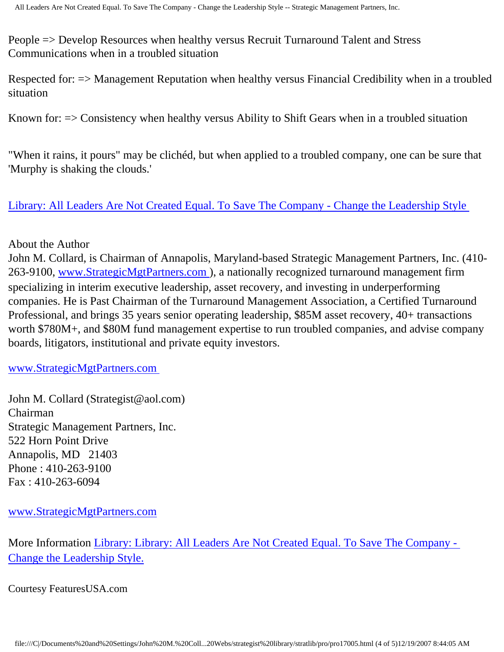People => Develop Resources when healthy versus Recruit Turnaround Talent and Stress Communications when in a troubled situation

Respected for: => Management Reputation when healthy versus Financial Credibility when in a troubled situation

Known for: => Consistency when healthy versus Ability to Shift Gears when in a troubled situation

"When it rains, it pours" may be clichéd, but when applied to a troubled company, one can be sure that 'Murphy is shaking the clouds.'

[Library: All Leaders Are Not Created Equal. To Save The Company - Change the Leadership Style](http://members.aol.com/stratlib2/clbldr.html) 

## About the Author

John M. Collard, is Chairman of Annapolis, Maryland-based Strategic Management Partners, Inc. (410 263-9100, [www.StrategicMgtPartners.com](http://www.strategicmgtpartners.com/)), a nationally recognized turnaround management firm specializing in interim executive leadership, asset recovery, and investing in underperforming companies. He is Past Chairman of the Turnaround Management Association, a Certified Turnaround Professional, and brings 35 years senior operating leadership, \$85M asset recovery, 40+ transactions worth \$780M+, and \$80M fund management expertise to run troubled companies, and advise company boards, litigators, institutional and private equity investors.

[www.StrategicMgtPartners.com](http://www.strategicmgtpartners.com/)

John M. Collard (Strategist@aol.com) Chairman Strategic Management Partners, Inc. 522 Horn Point Drive Annapolis, MD 21403 Phone : 410-263-9100 Fax : 410-263-6094

[www.StrategicMgtPartners.com](http://www.strategicmgtpartners.com/)

More Information [Library: Library: All Leaders Are Not Created Equal. To Save The Company -](http://members.aol.com/stratlib2/clbldr.html) [Change the Leadership Style.](http://members.aol.com/stratlib2/clbldr.html)

Courtesy FeaturesUSA.com